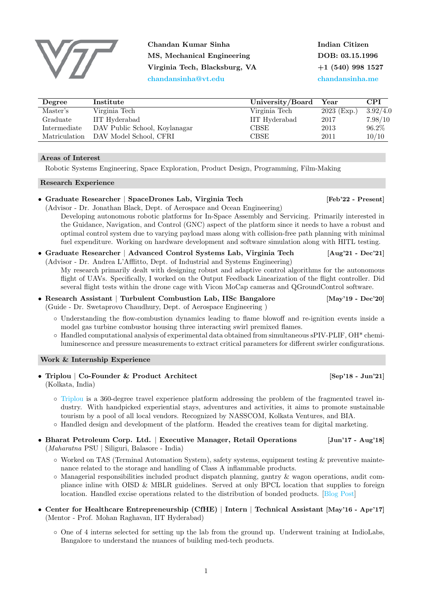Chandan Kumar Sinha MS, Mechanical Engineering Virginia Tech, Blacksburg, VA [chandansinha@vt.edu](mailto:chandansinha@vt.edu)

Indian Citizen DOB: 03.15.1996 +1 (540) 998 1527 [chandansinha.me](http://chandansinha.me)

| Degree        | Institute                     | University/Board | $\operatorname{Year}$ | <b>CPI</b> |
|---------------|-------------------------------|------------------|-----------------------|------------|
| Master's      | Virginia Tech                 | Virginia Tech    | $2023$ (Exp.)         | 3.92/4.0   |
| Graduate      | IIT Hyderabad                 | IIT Hyderabad    | 2017                  | 7.98/10    |
| Intermediate  | DAV Public School, Koylanagar | CBSE             | 2013                  | 96.2%      |
| Matriculation | DAV Model School, CFRI        | CBSE             | 2011                  | 10/10      |

## Areas of Interest

Robotic Systems Engineering, Space Exploration, Product Design, Programming, Film-Making

## Research Experience

# • Graduate Researcher | SpaceDrones Lab, Virginia Tech [Feb'22 - Present]

(Advisor - Dr. Jonathan Black, Dept. of Aerospace and Ocean Engineering) Developing autonomous robotic platforms for In-Space Assembly and Servicing. Primarily interested in the Guidance, Navigation, and Control (GNC) aspect of the platform since it needs to have a robust and optimal control system due to varying payload mass along with collision-free path planning with minimal fuel expenditure. Working on hardware development and software simulation along with HITL testing.

- Graduate Researcher | Advanced Control Systems Lab, Virginia Tech [Aug'21 Dec'21] (Advisor - Dr. Andrea L'Afflitto, Dept. of Industrial and Systems Engineering) My research primarily dealt with designing robust and adaptive control algorithms for the autonomous flight of UAVs. Specifically, I worked on the Output Feedback Linearization of the flight controller. Did several flight tests within the drone cage with Vicon MoCap cameras and QGroundControl software.
- Research Assistant | Turbulent Combustion Lab, IISc Bangalore [May'19 Dec'20] (Guide - Dr. Swetaprovo Chaudhury, Dept. of Aerospace Engineering )
	- Understanding the flow-combustion dynamics leading to flame blowoff and re-ignition events inside a model gas turbine combustor housing three interacting swirl premixed flames.
	- Handled computational analysis of experimental data obtained from simultaneous sPIV-PLIF, OH\* chemiluminescence and pressure measurements to extract critical parameters for different swirler configurations.

## Work & Internship Experience

- Triplou | Co-Founder & Product Architect [Sep'18 Jun'21] (Kolkata, India)
	- [Triplou](www.triplou.com) is a 360-degree travel experience platform addressing the problem of the fragmented travel industry. With handpicked experiential stays, adventures and activities, it aims to promote sustainable tourism by a pool of all local vendors. Recognized by NASSCOM, Kolkata Ventures, and BIA.
	- Handled design and development of the platform. Headed the creatives team for digital marketing.
- Bharat Petroleum Corp. Ltd. | Executive Manager, Retail Operations [Jun'17 Aug'18] (Maharatna PSU | Siliguri, Balasore - India)
	- Worked on TAS (Terminal Automation System), safety systems, equipment testing & preventive maintenance related to the storage and handling of Class A inflammable products.
	- Managerial responsibilities included product dispatch planning, gantry & wagon operations, audit compliance inline with OISD & MBLR guidelines. Served at only BPCL location that supplies to foreign location. Handled excise operations related to the distribution of bonded products. [\[Blog Post\]](https://mechandansinha.github.io/big-automation-goofups.html)
- Center for Healthcare Entrepreneurship (CfHE) | Intern | Technical Assistant [May'16 Apr'17] (Mentor - Prof. Mohan Raghavan, IIT Hyderabad)

1

◦ One of 4 interns selected for setting up the lab from the ground up. Underwent training at IndioLabs, Bangalore to understand the nuances of building med-tech products.

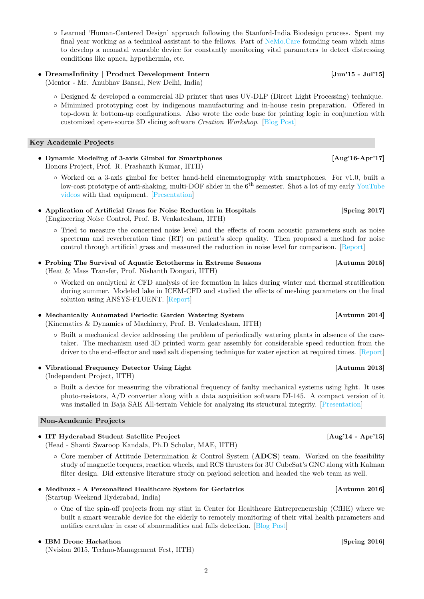◦ Learned 'Human-Centered Design' approach following the Stanford-India Biodesign process. Spent my final year working as a technical assistant to the fellows. Part of [NeMo.Care](http://nemo.care) founding team which aims to develop a neonatal wearable device for constantly monitoring vital parameters to detect distressing conditions like apnea, hypothermia, etc.

# • DreamsInfinity | Product Development Intern [Jun'15 - Jul'15]

(Mentor - Mr. Anubhav Bansal, New Delhi, India)

- Designed & developed a commercial 3D printer that uses UV-DLP (Direct Light Processing) technique.
- Minimized prototyping cost by indigenous manufacturing and in-house resin preparation. Offered in top-down & bottom-up configurations. Also wrote the code base for printing logic in conjunction with customized open-source 3D slicing software Creation Workshop. [\[Blog Post\]](https://mechandansinha.github.io/building-a-uv-dlp-based-3d-printer.html)

# Key Academic Projects

- Dynamic Modeling of 3-axis Gimbal for Smartphones [Aug'16-Apr'17] Honors Project, Prof. R. Prashanth Kumar, IITH)
	- Worked on a 3-axis gimbal for better hand-held cinematography with smartphones. For v1.0, built a low-cost prototype of anti-shaking, multi-DOF slider in the 6<sup>th</sup> semester. Shot a lot of my early [YouTube](https://www.youtube.com/channel/UC-9V3F-jbe9Kq4sN_NJYakw) [videos](https://www.youtube.com/channel/UC-9V3F-jbe9Kq4sN_NJYakw) with that equipment. [\[Presentation\]](https://docs.google.com/presentation/d/1e4WZyqwtx4TXmWCgNn8aSbq7dMlkBtiB/edit?usp=sharing&ouid=103517605607233421064&rtpof=true&sd=true)
- Application of Artificial Grass for Noise Reduction in Hospitals [Spring 2017] (Engineering Noise Control, Prof. B. Venkatesham, IITH)
	- Tried to measure the concerned noise level and the effects of room acoustic parameters such as noise spectrum and reverberation time (RT) on patient's sleep quality. Then proposed a method for noise control through artificial grass and measured the reduction in noise level for comparison. [\[Report\]](https://drive.google.com/file/d/1yJRo3e0G85duqyP8eT0Afk-cx8RYKC-d/view?usp=sharing)
- Probing The Survival of Aquatic Ectotherms in Extreme Seasons [Autumn 2015] (Heat & Mass Transfer, Prof. Nishanth Dongari, IITH)
	- Worked on analytical & CFD analysis of ice formation in lakes during winter and thermal stratification during summer. Modeled lake in ICEM-CFD and studied the effects of meshing parameters on the final solution using ANSYS-FLUENT. [\[Report\]](https://drive.google.com/file/d/1XvcLmAjF328D6bA0deEvYhr-3qhxl6EN/view?usp=sharing)
- Mechanically Automated Periodic Garden Watering System [Autumn 2014]

(Kinematics & Dynamics of Machinery, Prof. B. Venkatesham, IITH)

- Built a mechanical device addressing the problem of periodically watering plants in absence of the caretaker. The mechanism used 3D printed worm gear assembly for considerable speed reduction from the driver to the end-effector and used salt dispensing technique for water ejection at required times. [\[Report\]](https://drive.google.com/file/d/1exmkuFOx3kupVW3Uc022SP1E9ic6_t2Z/view?usp=sharing)
- Vibrational Frequency Detector Using Light [Autumn 2013] (Independent Project, IITH)
	- Built a device for measuring the vibrational frequency of faulty mechanical systems using light. It uses photo-resistors, A/D converter along with a data acquisition software DI-145. A compact version of it was installed in Baja SAE All-terrain Vehicle for analyzing its structural integrity. [\[Presentation\]](https://docs.google.com/presentation/d/1qR7I6vr8hxV6rV8RhxWdvVpsK1HnykxN/edit?usp=sharing&ouid=103517605607233421064&rtpof=true&sd=true)

# Non-Academic Projects

- IIT Hyderabad Student Satellite Project [Aug'14 Apr'15] (Head - Shanti Swaroop Kandala, Ph.D Scholar, MAE, IITH)
	- Core member of Attitude Determination & Control System (ADCS) team. Worked on the feasibility study of magnetic torquers, reaction wheels, and RCS thrusters for 3U CubeSat's GNC along with Kalman filter design. Did extensive literature study on payload selection and headed the web team as well.
- Medbuzz A Personalized Healthcare System for Geriatrics [Autumn 2016] (Startup Weekend Hyderabad, India)
	- One of the spin-off projects from my stint in Center for Healthcare Entrepreneurship (CfHE) where we built a smart wearable device for the elderly to remotely monitoring of their vital health parameters and notifies caretaker in case of abnormalities and falls detection. [\[Blog Post\]](https://thevindicatedaxiom.wordpress.com/2016/09/05/startup-weekend-learn-to-unlearn/)

# • IBM Drone Hackathon [Spring 2016]

(Nvision 2015, Techno-Management Fest, IITH)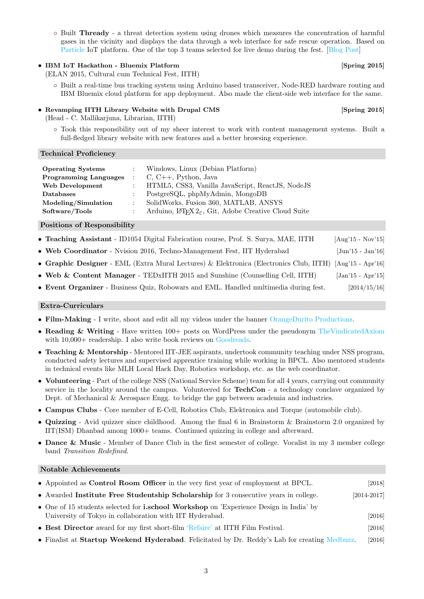◦ Built Thready - a threat detection system using drones which measures the concentration of harmful gases in the vicinity and displays the data through a web interface for safe rescue operation. Based on [Particle](https://www.particle.io/) IoT platform. One of the top 3 teams selected for live demo during the fest. [\[Blog Post\]](https://thevindicatedaxiom.wordpress.com/2016/04/21/thready-threat-detection-using-drones/)

# • IBM IoT Hackathon - Bluemix Platform [Spring 2015]

(ELAN 2015, Cultural cum Technical Fest, IITH)

◦ Built a real-time bus tracking system using Arduino based transceiver, Node-RED hardware routing and IBM Bluemix cloud platform for app deployment. Also made the client-side web interface for the same.

# • Revamping IITH Library Website with Drupal CMS [Spring 2015]

(Head - C. Mallikarjuna, Librarian, IITH)

◦ Took this responsibility out of my sheer interest to work with content management systems. Built a full-fledged library website with new features and a better browsing experience.

### Technical Proficiency

| <b>Operating Systems</b><br><b>Programming Languages</b> : $C, C++, Python, Java$<br>Web Development | Windows, Linux (Debian Platform)<br>: HTML5, CSS3, Vanilla JavaScript, ReactJS, NodeJS                                                               |
|------------------------------------------------------------------------------------------------------|------------------------------------------------------------------------------------------------------------------------------------------------------|
| <b>Databases</b><br>Modeling/Simulation<br>Software/Tools                                            | PostgreSQL, phpMyAdmin, MongoDB<br>SolidWorks, Fusion 360, MATLAB, ANSYS<br>: Arduino, $\Delta E_F X 2_{\epsilon}$ , Git, Adobe Creative Cloud Suite |

### Positions of Responsibility

- Teaching Assistant ID1054 Digital Fabrication course, Prof. S. Surya, MAE, IITH [Aug'15 Nov'15]
- Web Coordinator Nvision 2016, Techno-Management Fest, IIT Hyderabad [Jun'15 Jan'16]
- Graphic Designer EML (Extra Mural Lectures) & Elektronica (Electronics Club, IITH) [Aug'15 Apr'16]
- Web & Content Manager TEDxIITH 2015 and Sunshine (Counselling Cell, IITH) [Jan'15 Apr'15]
- Event Organizer Business Quiz, Robowars and EML. Handled multimedia during fest. [2014/15/16]

### Extra-Curriculars

- Film-Making I write, shoot and edit all my videos under the banner [OrangeDurito Productions.](https://www.youtube.com/channel/UC-9V3F-jbe9Kq4sN_NJYakw)
- Reading & Writing Have written 100+ posts on WordPress under the pseudonym [TheVindicatedAxiom](https://thevindicatedaxiom.wordpress.com/) with  $10,000+$  readership. I also write book reviews on [Goodreads.](https://www.goodreads.com/user/show/37670581-chandan-sinha)
- Teaching & Mentorship Mentored IIT-JEE aspirants, undertook community teaching under NSS program, conducted safety lectures and supervised apprentice training while working in BPCL. Also mentored students in technical events like MLH Local Hack Day, Robotics workshop, etc. as the web coordinator.
- Volunteering Part of the college NSS (National Service Scheme) team for all 4 years, carrying out community service in the locality around the campus. Volunteered for **TechCon** - a technology conclave organized by Dept. of Mechanical & Aerospace Engg. to bridge the gap between academia and industries.
- Campus Clubs Core member of E-Cell, Robotics Club, Elektronica and Torque (automobile club).
- Quizzing Avid quizzer since childhood. Among the final 6 in Brainstorm & Brainstorm 2.0 organized by IIT(ISM) Dhanbad among 1000+ teams. Continued quizzing in college and afterward.
- Dance & Music Member of Dance Club in the first semester of college. Vocalist in my 3 member college band Transition Redefined.

### Notable Achievements

| • Appointed as <b>Control Room Officer</b> in the very first year of employment at BPCL.                                                                  | [2018]          |
|-----------------------------------------------------------------------------------------------------------------------------------------------------------|-----------------|
| • Awarded Institute Free Studentship Scholarship for 3 consecutive years in college.                                                                      | $[2014 - 2017]$ |
| • One of 15 students selected for <b>i.school Workshop</b> on 'Experience Design in India' by<br>University of Tokyo in collaboration with IIT Hyderabad. | $[2016]$        |
| • Best Director award for my first short-film 'Refaire' at IITH Film Festival.                                                                            | $[2016]$        |
| • Finalist at Startup Weekend Hyderabad. Felicitated by Dr. Reddy's Lab for creating Medbuzz.                                                             | $[2016]$        |